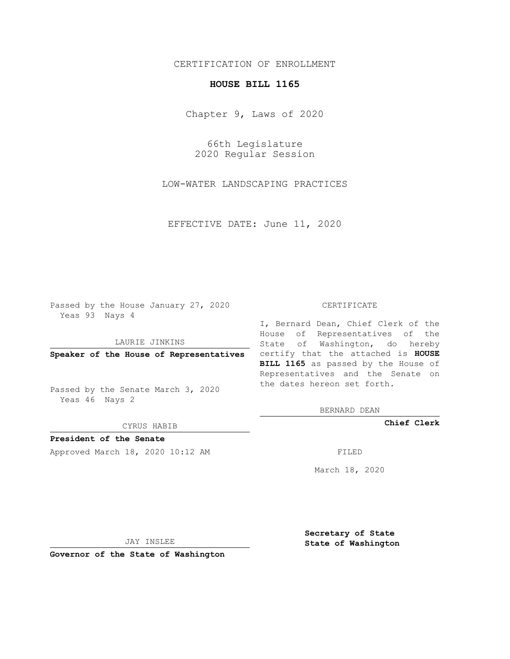## CERTIFICATION OF ENROLLMENT

## **HOUSE BILL 1165**

Chapter 9, Laws of 2020

66th Legislature 2020 Regular Session

LOW-WATER LANDSCAPING PRACTICES

EFFECTIVE DATE: June 11, 2020

Passed by the House January 27, 2020 Yeas 93 Nays 4

LAURIE JINKINS

Passed by the Senate March 3, 2020 Yeas 46 Nays 2

CYRUS HABIB

**President of the Senate**

Approved March 18, 2020 10:12 AM FILED

## CERTIFICATE

**Speaker of the House of Representatives** certify that the attached is **HOUSE** I, Bernard Dean, Chief Clerk of the House of Representatives of the State of Washington, do hereby **BILL 1165** as passed by the House of Representatives and the Senate on the dates hereon set forth.

BERNARD DEAN

**Chief Clerk**

March 18, 2020

JAY INSLEE

**Governor of the State of Washington**

**Secretary of State State of Washington**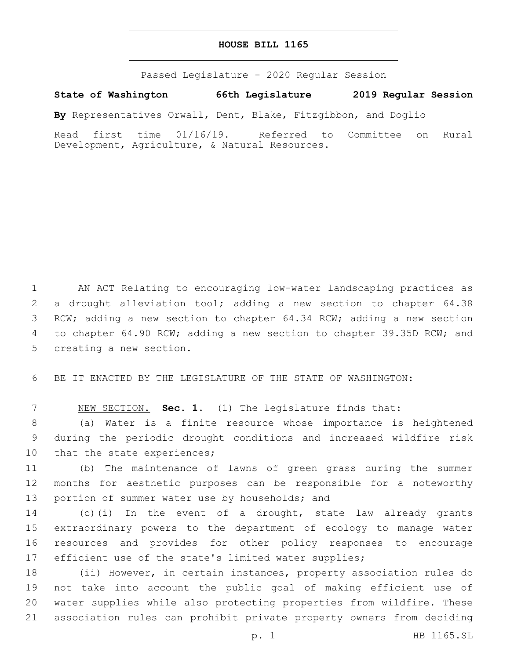## **HOUSE BILL 1165**

Passed Legislature - 2020 Regular Session

**State of Washington 66th Legislature 2019 Regular Session**

**By** Representatives Orwall, Dent, Blake, Fitzgibbon, and Doglio

Read first time 01/16/19. Referred to Committee on Rural Development, Agriculture, & Natural Resources.

 AN ACT Relating to encouraging low-water landscaping practices as a drought alleviation tool; adding a new section to chapter 64.38 RCW; adding a new section to chapter 64.34 RCW; adding a new section to chapter 64.90 RCW; adding a new section to chapter 39.35D RCW; and 5 creating a new section.

BE IT ENACTED BY THE LEGISLATURE OF THE STATE OF WASHINGTON:

NEW SECTION. **Sec. 1.** (1) The legislature finds that:

 (a) Water is a finite resource whose importance is heightened during the periodic drought conditions and increased wildfire risk 10 that the state experiences;

 (b) The maintenance of lawns of green grass during the summer months for aesthetic purposes can be responsible for a noteworthy 13 portion of summer water use by households; and

 (c)(i) In the event of a drought, state law already grants extraordinary powers to the department of ecology to manage water resources and provides for other policy responses to encourage 17 efficient use of the state's limited water supplies;

 (ii) However, in certain instances, property association rules do not take into account the public goal of making efficient use of water supplies while also protecting properties from wildfire. These association rules can prohibit private property owners from deciding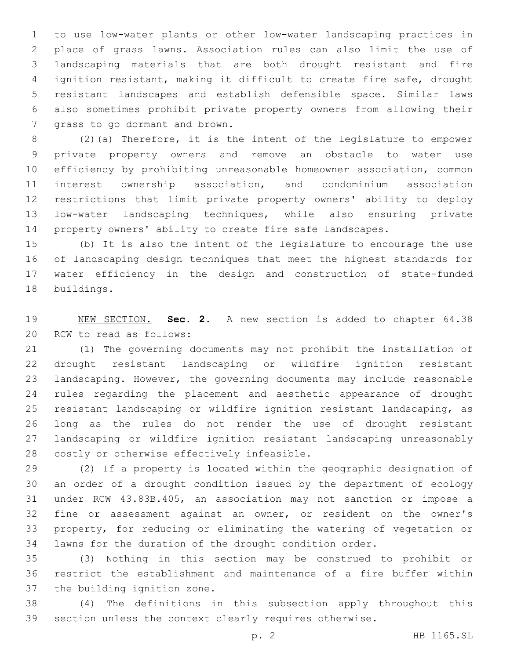to use low-water plants or other low-water landscaping practices in place of grass lawns. Association rules can also limit the use of landscaping materials that are both drought resistant and fire ignition resistant, making it difficult to create fire safe, drought resistant landscapes and establish defensible space. Similar laws also sometimes prohibit private property owners from allowing their 7 grass to go dormant and brown.

 (2)(a) Therefore, it is the intent of the legislature to empower private property owners and remove an obstacle to water use efficiency by prohibiting unreasonable homeowner association, common interest ownership association, and condominium association restrictions that limit private property owners' ability to deploy low-water landscaping techniques, while also ensuring private property owners' ability to create fire safe landscapes.

 (b) It is also the intent of the legislature to encourage the use of landscaping design techniques that meet the highest standards for water efficiency in the design and construction of state-funded 18 buildings.

 NEW SECTION. **Sec. 2.** A new section is added to chapter 64.38 20 RCW to read as follows:

 (1) The governing documents may not prohibit the installation of drought resistant landscaping or wildfire ignition resistant landscaping. However, the governing documents may include reasonable rules regarding the placement and aesthetic appearance of drought resistant landscaping or wildfire ignition resistant landscaping, as long as the rules do not render the use of drought resistant landscaping or wildfire ignition resistant landscaping unreasonably 28 costly or otherwise effectively infeasible.

 (2) If a property is located within the geographic designation of an order of a drought condition issued by the department of ecology under RCW 43.83B.405, an association may not sanction or impose a fine or assessment against an owner, or resident on the owner's property, for reducing or eliminating the watering of vegetation or lawns for the duration of the drought condition order.

 (3) Nothing in this section may be construed to prohibit or restrict the establishment and maintenance of a fire buffer within 37 the building ignition zone.

 (4) The definitions in this subsection apply throughout this section unless the context clearly requires otherwise.

p. 2 HB 1165.SL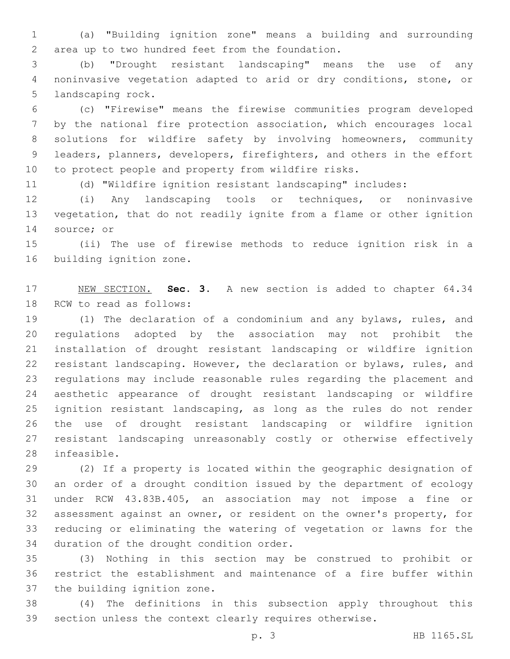(a) "Building ignition zone" means a building and surrounding area up to two hundred feet from the foundation.2

 (b) "Drought resistant landscaping" means the use of any noninvasive vegetation adapted to arid or dry conditions, stone, or 5 landscaping rock.

 (c) "Firewise" means the firewise communities program developed by the national fire protection association, which encourages local solutions for wildfire safety by involving homeowners, community leaders, planners, developers, firefighters, and others in the effort to protect people and property from wildfire risks.

(d) "Wildfire ignition resistant landscaping" includes:

 (i) Any landscaping tools or techniques, or noninvasive vegetation, that do not readily ignite from a flame or other ignition 14 source; or

 (ii) The use of firewise methods to reduce ignition risk in a 16 building ignition zone.

 NEW SECTION. **Sec. 3.** A new section is added to chapter 64.34 18 RCW to read as follows:

 (1) The declaration of a condominium and any bylaws, rules, and regulations adopted by the association may not prohibit the installation of drought resistant landscaping or wildfire ignition resistant landscaping. However, the declaration or bylaws, rules, and regulations may include reasonable rules regarding the placement and aesthetic appearance of drought resistant landscaping or wildfire ignition resistant landscaping, as long as the rules do not render the use of drought resistant landscaping or wildfire ignition resistant landscaping unreasonably costly or otherwise effectively 28 infeasible.

 (2) If a property is located within the geographic designation of an order of a drought condition issued by the department of ecology under RCW 43.83B.405, an association may not impose a fine or assessment against an owner, or resident on the owner's property, for reducing or eliminating the watering of vegetation or lawns for the 34 duration of the drought condition order.

 (3) Nothing in this section may be construed to prohibit or restrict the establishment and maintenance of a fire buffer within 37 the building ignition zone.

 (4) The definitions in this subsection apply throughout this section unless the context clearly requires otherwise.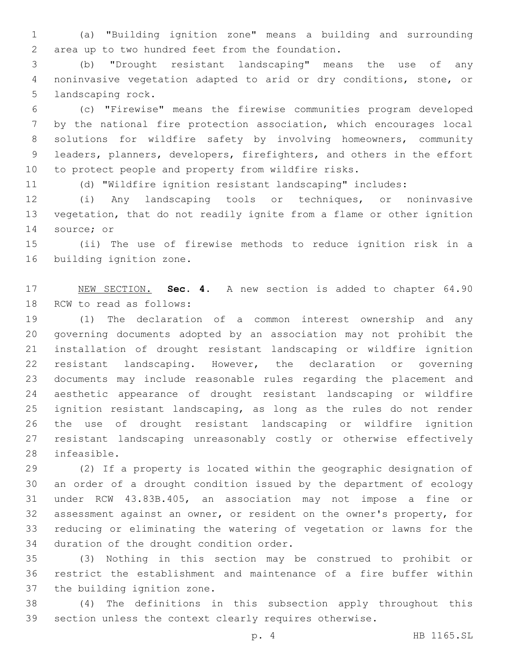(a) "Building ignition zone" means a building and surrounding area up to two hundred feet from the foundation.2

 (b) "Drought resistant landscaping" means the use of any noninvasive vegetation adapted to arid or dry conditions, stone, or 5 landscaping rock.

 (c) "Firewise" means the firewise communities program developed by the national fire protection association, which encourages local solutions for wildfire safety by involving homeowners, community leaders, planners, developers, firefighters, and others in the effort to protect people and property from wildfire risks.

(d) "Wildfire ignition resistant landscaping" includes:

 (i) Any landscaping tools or techniques, or noninvasive vegetation, that do not readily ignite from a flame or other ignition 14 source; or

 (ii) The use of firewise methods to reduce ignition risk in a 16 building ignition zone.

 NEW SECTION. **Sec. 4.** A new section is added to chapter 64.90 18 RCW to read as follows:

 (1) The declaration of a common interest ownership and any governing documents adopted by an association may not prohibit the installation of drought resistant landscaping or wildfire ignition resistant landscaping. However, the declaration or governing documents may include reasonable rules regarding the placement and aesthetic appearance of drought resistant landscaping or wildfire ignition resistant landscaping, as long as the rules do not render the use of drought resistant landscaping or wildfire ignition resistant landscaping unreasonably costly or otherwise effectively 28 infeasible.

 (2) If a property is located within the geographic designation of an order of a drought condition issued by the department of ecology under RCW 43.83B.405, an association may not impose a fine or assessment against an owner, or resident on the owner's property, for reducing or eliminating the watering of vegetation or lawns for the 34 duration of the drought condition order.

 (3) Nothing in this section may be construed to prohibit or restrict the establishment and maintenance of a fire buffer within 37 the building ignition zone.

 (4) The definitions in this subsection apply throughout this section unless the context clearly requires otherwise.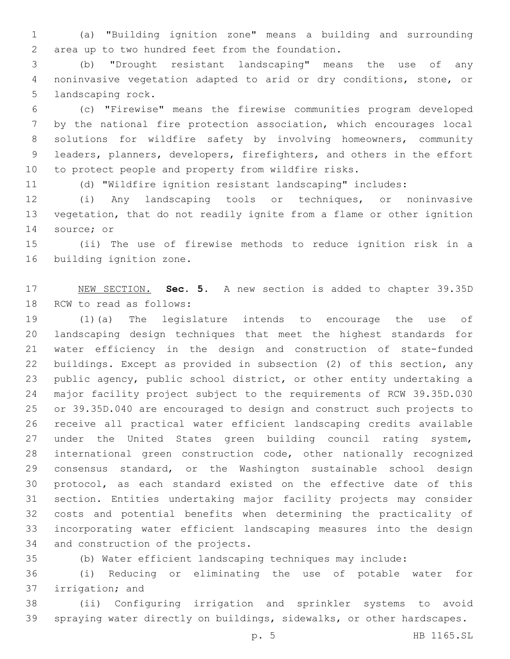(a) "Building ignition zone" means a building and surrounding area up to two hundred feet from the foundation.2

 (b) "Drought resistant landscaping" means the use of any noninvasive vegetation adapted to arid or dry conditions, stone, or 5 landscaping rock.

 (c) "Firewise" means the firewise communities program developed by the national fire protection association, which encourages local solutions for wildfire safety by involving homeowners, community leaders, planners, developers, firefighters, and others in the effort to protect people and property from wildfire risks.

(d) "Wildfire ignition resistant landscaping" includes:

 (i) Any landscaping tools or techniques, or noninvasive vegetation, that do not readily ignite from a flame or other ignition 14 source; or

 (ii) The use of firewise methods to reduce ignition risk in a 16 building ignition zone.

 NEW SECTION. **Sec. 5.** A new section is added to chapter 39.35D 18 RCW to read as follows:

 (1)(a) The legislature intends to encourage the use of landscaping design techniques that meet the highest standards for water efficiency in the design and construction of state-funded buildings. Except as provided in subsection (2) of this section, any public agency, public school district, or other entity undertaking a major facility project subject to the requirements of RCW 39.35D.030 or 39.35D.040 are encouraged to design and construct such projects to receive all practical water efficient landscaping credits available under the United States green building council rating system, international green construction code, other nationally recognized consensus standard, or the Washington sustainable school design protocol, as each standard existed on the effective date of this section. Entities undertaking major facility projects may consider costs and potential benefits when determining the practicality of incorporating water efficient landscaping measures into the design 34 and construction of the projects.

(b) Water efficient landscaping techniques may include:

 (i) Reducing or eliminating the use of potable water for 37 irrigation; and

 (ii) Configuring irrigation and sprinkler systems to avoid spraying water directly on buildings, sidewalks, or other hardscapes.